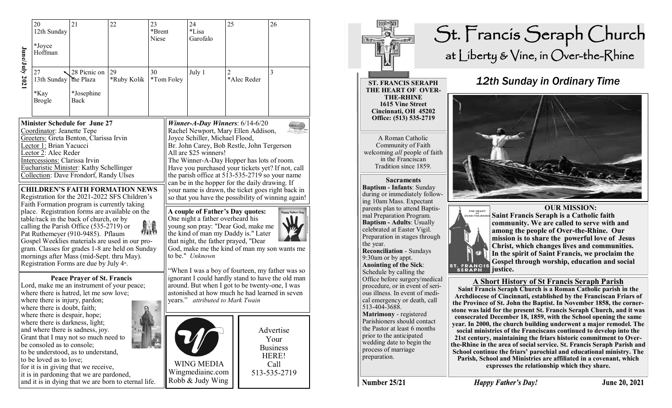| June/July 2021 | 20<br>12th Sunday<br>*Joyce<br>Hoffman                                                                                                                                                                                                                                                                                                                                                                                                                                                                                                                                                                                                                                                                                                                                                                                 | 21                                              | 22                | 23<br>*Brent<br>Niese |            | 24<br>*Lisa<br>Garofalo                                                                                                                                                                                                                                                                                                                                                                                                                                                                                                                                                                                                                                                                                                                                                                        | 25 |             | 26                                                                    |  |
|----------------|------------------------------------------------------------------------------------------------------------------------------------------------------------------------------------------------------------------------------------------------------------------------------------------------------------------------------------------------------------------------------------------------------------------------------------------------------------------------------------------------------------------------------------------------------------------------------------------------------------------------------------------------------------------------------------------------------------------------------------------------------------------------------------------------------------------------|-------------------------------------------------|-------------------|-----------------------|------------|------------------------------------------------------------------------------------------------------------------------------------------------------------------------------------------------------------------------------------------------------------------------------------------------------------------------------------------------------------------------------------------------------------------------------------------------------------------------------------------------------------------------------------------------------------------------------------------------------------------------------------------------------------------------------------------------------------------------------------------------------------------------------------------------|----|-------------|-----------------------------------------------------------------------|--|
|                | 27<br>13th Sunday<br>*Kay<br><b>Brogle</b>                                                                                                                                                                                                                                                                                                                                                                                                                                                                                                                                                                                                                                                                                                                                                                             | 28 Picnic on<br>the Plaza<br>*Josephine<br>Back | 29<br>*Ruby Kolik | 30                    | *Tom Foley | July 1                                                                                                                                                                                                                                                                                                                                                                                                                                                                                                                                                                                                                                                                                                                                                                                         | 2  | *Alec Reder | 3                                                                     |  |
|                | <b>Minister Schedule for June 27</b><br>Coordinator: Jeanette Tepe<br>Greeters: Greta Benton, Clarissa Irvin<br>Lector 1: Brian Yacucci<br>Lector 2: Alec Reder<br>Intercessions: Clarissa Irvin<br>Eucharistic Minister: Kathy Schellinger<br>Collection: Dave Frondorf, Randy Ulses<br><b>CHILDREN'S FAITH FORMATION NEWS</b><br>Registration for the 2021-2022 SFS Children's<br>Faith Formation program is currently taking<br>place. Registration forms are available on the<br>table/rack in the back of church, or by<br>calling the Parish Office (535-2719) or<br>Pat Ruthemeyer (910-9485). Pflaum<br>Gospel Weeklies materials are used in our pro-<br>gram. Classes for grades 1-8 are held on Sunday<br>mornings after Mass (mid-Sept. thru May).<br>Registration Forms are due by July 4 <sup>th</sup> . |                                                 |                   |                       |            | Winner-A-Day Winners: $6/14-6/20$<br>Rachel Newport, Mary Ellen Addison,<br>Joyce Schiller, Michael Flood,<br>Br. John Carey, Bob Restle, John Tergerson<br>All are \$25 winners!<br>The Winner-A-Day Hopper has lots of room.<br>Have you purchased your tickets yet? If not, call<br>the parish office at 513-535-2719 so your name<br>can be in the hopper for the daily drawing. If<br>your name is drawn, the ticket goes right back in<br>so that you have the possibility of winning again!<br>A couple of Father's Day quotes:<br><b>Happy Fathers Day</b><br>One night a father overheard his<br>young son pray: "Dear God, make me<br>the kind of man my Daddy is." Later<br>that night, the father prayed, "Dear<br>God, make me the kind of man my son wants me<br>to be." Unknown |    |             |                                                                       |  |
|                | <b>Peace Prayer of St. Francis</b><br>Lord, make me an instrument of your peace;<br>where there is hatred, let me sow love;<br>where there is injury, pardon;<br>where there is doubt, faith;<br>where there is despair, hope;<br>where there is darkness, light;<br>and where there is sadness, joy.<br>Grant that I may not so much need to<br>be consoled as to console;<br>to be understood, as to understand,<br>to be loved as to love;<br>for it is in giving that we receive,<br>it is in pardoning that we are pardoned,<br>and it is in dying that we are born to eternal life.                                                                                                                                                                                                                              |                                                 |                   |                       |            | "When I was a boy of fourteen, my father was so<br>ignorant I could hardly stand to have the old man<br>around. But when I got to be twenty-one, I was<br>astonished at how much he had learned in seven<br>years." attributed to Mark Twain                                                                                                                                                                                                                                                                                                                                                                                                                                                                                                                                                   |    |             |                                                                       |  |
|                |                                                                                                                                                                                                                                                                                                                                                                                                                                                                                                                                                                                                                                                                                                                                                                                                                        |                                                 |                   |                       |            | <b>WING MEDIA</b><br>Wingmediainc.com<br>Robb & Judy Wing                                                                                                                                                                                                                                                                                                                                                                                                                                                                                                                                                                                                                                                                                                                                      |    |             | Advertise<br>Your<br><b>Business</b><br>HERE!<br>Call<br>513-535-2719 |  |



## St. Francis Seraph Church at Liberty & Vine, in Over-the-Rhine

## **ST. FRANCIS SERAPH THE HEART OF OVER-THE-RHINE 1615 Vine Street Cincinnati, OH 45202 Office: (513) 535-2719**

A Roman Catholic Community of Faith welcoming *all* people of faith in the Franciscan Tradition since 1859.

**Sacraments Baptism - Infants**: Sunday during or immediately following 10am Mass. Expectant parents plan to attend Baptismal Preparation Program. **Baptism - Adults**: Usually celebrated at Easter Vigil. Preparation in stages through the year. **Reconciliation** - Sundays 9:30am or by appt. **Anointing of the Sick**: Schedule by calling the Office before surgery/medical procedure, or in event of serious illness. In event of medical emergency or death, call 513-404-3688. **Matrimony** - registered Parishioners should contact the Pastor at least 6 months prior to the anticipated wedding date to begin the process of marriage preparation.



*12th Sunday in Ordinary Time*



**Saint Francis Seraph is a Catholic faith community. We are called to serve with and among the people of Over-the-Rhine. Our mission is to share the powerful love of Jesus Christ, which changes lives and communities. In the spirit of Saint Francis, we proclaim the Gospel through worship, education and social** 

## **A Short History of St Francis Seraph Parish**

**Saint Francis Seraph Church is a Roman Catholic parish in the Archdiocese of Cincinnati, established by the Franciscan Friars of the Province of St. John the Baptist. In November 1858, the cornerstone was laid for the present St. Francis Seraph Church, and it was consecrated December 18, 1859, with the School opening the same year. In 2000, the church building underwent a major remodel. The social ministries of the Franciscans continued to develop into the 21st century, maintaining the friars historic commitment to Overthe-Rhine in the area of social service. St. Francis Seraph Parish and School continue the friars' parochial and educational ministry. The Parish, School and Ministries are affiliated in a covenant, which expresses the relationship which they share.** 

**Number 25/21**